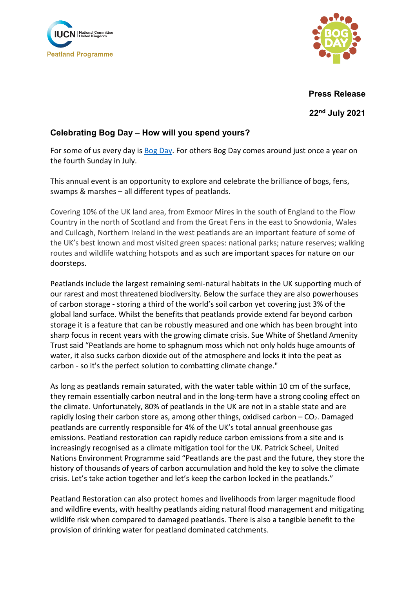



**Press Release**

**22nd July 2021**

## **Celebrating Bog Day – How will you spend yours?**

For some of us every day is [Bog Day.](https://bogday.org/) For others Bog Day comes around just once a year on the fourth Sunday in July.

This annual event is an opportunity to explore and celebrate the brilliance of bogs, fens, swamps & marshes – all different types of peatlands.

Covering 10% of the UK land area, from Exmoor Mires in the south of England to the Flow Country in the north of Scotland and from the Great Fens in the east to Snowdonia, Wales and Cuilcagh, Northern Ireland in the west peatlands are an important feature of some of the UK's best known and most visited green spaces: national parks; nature reserves; walking routes and wildlife watching hotspots and as such are important spaces for nature on our doorsteps.

Peatlands include the largest remaining semi-natural habitats in the UK supporting much of our rarest and most threatened biodiversity. Below the surface they are also powerhouses of carbon storage - storing a third of the world's soil carbon yet covering just 3% of the global land surface. Whilst the benefits that peatlands provide extend far beyond carbon storage it is a feature that can be robustly measured and one which has been brought into sharp focus in recent years with the growing climate crisis. Sue White of Shetland Amenity Trust said "Peatlands are home to sphagnum moss which not only holds huge amounts of water, it also sucks carbon dioxide out of the atmosphere and locks it into the peat as carbon - so it's the perfect solution to combatting climate change."

As long as peatlands remain saturated, with the water table within 10 cm of the surface, they remain essentially carbon neutral and in the long-term have a strong cooling effect on the climate. Unfortunately, 80% of peatlands in the UK are not in a stable state and are rapidly losing their carbon store as, among other things, oxidised carbon  $-$  CO<sub>2</sub>. Damaged peatlands are currently responsible for 4% of the UK's total annual greenhouse gas emissions. Peatland restoration can rapidly reduce carbon emissions from a site and is increasingly recognised as a climate mitigation tool for the UK. Patrick Scheel, United Nations Environment Programme said "Peatlands are the past and the future, they store the history of thousands of years of carbon accumulation and hold the key to solve the climate crisis. Let's take action together and let's keep the carbon locked in the peatlands."

Peatland Restoration can also protect homes and livelihoods from larger magnitude flood and wildfire events, with healthy peatlands aiding natural flood management and mitigating wildlife risk when compared to damaged peatlands. There is also a tangible benefit to the provision of drinking water for peatland dominated catchments.